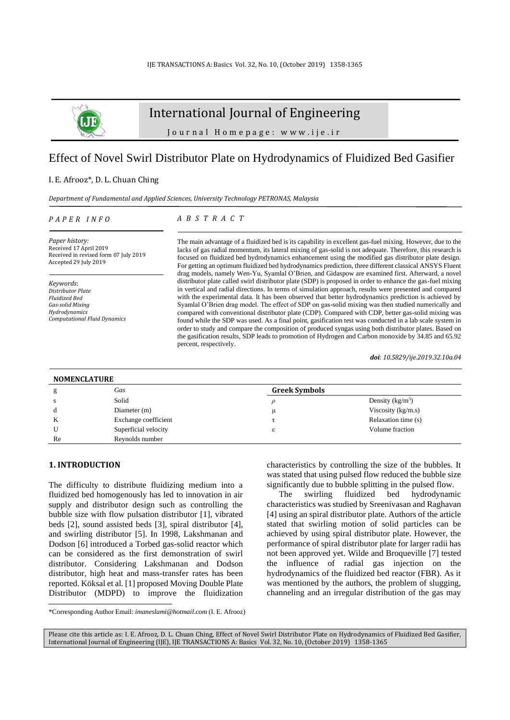

# International Journal of Engineering

J o u r n a l H o m e p a g e : w w w . i j e . i r

## Effect of Novel Swirl Distributor Plate on Hydrodynamics of Fluidized Bed Gasifier

## I. E. Afrooz\*, D. L. Chuan Ching

*Department of Fundamental and Applied Sciences, University Technology PETRONAS, Malaysia*

### *P A P E R I N F O*

## *A B S T R A C T*

*Paper history:* Received 17 April 2019 Received in revised form 07 July 2019 Accepted 29 July 2019

*Keywords*: *Distributor Plate Fluidized Bed Gas-solid Mixing Hydrodynamics Computational Fluid Dynamics* The main advantage of a fluidized bed is its capability in excellent gas-fuel mixing. However, due to the lacks of gas radial momentum, its lateral mixing of gas-solid is not adequate. Therefore, this research is focused on fluidized bed hydrodynamics enhancement using the modified gas distributor plate design. For getting an optimum fluidized bed hydrodynamics prediction, three different classical ANSYS Fluent drag models, namely Wen-Yu, Syamlal O'Brien, and Gidaspow are examined first. Afterward, a novel distributor plate called swirl distributor plate (SDP) is proposed in order to enhance the gas-fuel mixing in vertical and radial directions. In terms of simulation approach, results were presented and compared with the experimental data. It has been observed that better hydrodynamics prediction is achieved by Syamlal O'Brien drag model. The effect of SDP on gas-solid mixing was then studied numerically and compared with conventional distributor plate (CDP). Compared with CDP, better gas-solid mixing was found while the SDP was used. As a final point, gasification test was conducted in a lab scale system in order to study and compare the composition of produced syngas using both distributor plates. Based on the gasification results, SDP leads to promotion of Hydrogen and Carbon monoxide by 34.85 and 65.92 percent, respectively.

*doi: 10.5829/ije.2019.32.10a.04*

| <b>NOMENCLATURE</b> |                      |                      |                      |  |  |
|---------------------|----------------------|----------------------|----------------------|--|--|
|                     | Gas                  | <b>Greek Symbols</b> |                      |  |  |
|                     | Solid                |                      | Density $(kg/m^3)$   |  |  |
| d                   | Diameter (m)         | μ                    | Viscosity $(kg/m.s)$ |  |  |
| K                   | Exchange coefficient |                      | Relaxation time (s)  |  |  |
|                     | Superficial velocity | ε                    | Volume fraction      |  |  |
| Re                  | Reynolds number      |                      |                      |  |  |

## **1. INTRODUCTION<sup>1</sup>**

The difficulty to distribute fluidizing medium into a fluidized bed homogenously has led to innovation in air supply and distributor design such as controlling the bubble size with flow pulsation distributor [\[1\]](#page-6-0), vibrated beds [\[2\]](#page-6-1), sound assisted beds [\[3\]](#page-6-2), spiral distributor [\[4\]](#page-6-3), and swirling distributor [\[5\]](#page-6-4). In 1998, Lakshmanan and Dodson [\[6\]](#page-6-5) introduced a Torbed gas-solid reactor which can be considered as the first demonstration of swirl distributor. Considering Lakshmanan and Dodson distributor, high heat and mass-transfer rates has been reported. Köksal et al. [\[1\]](#page-6-0) proposed Moving Double Plate Distributor (MDPD) to improve the fluidization characteristics by controlling the size of the bubbles. It was stated that using pulsed flow reduced the bubble size significantly due to bubble splitting in the pulsed flow.

The swirling fluidized bed hydrodynamic characteristics was studied by Sreenivasan and Raghavan [\[4\]](#page-6-3) using an spiral distributor plate. Authors of the article stated that swirling motion of solid particles can be achieved by using spiral distributor plate. However, the performance of spiral distributor plate for larger radii has not been approved yet. Wilde and Broqueville [\[7\]](#page-6-6) tested the influence of radial gas injection on the hydrodynamics of the fluidized bed reactor (FBR). As it was mentioned by the authors, the problem of slugging, channeling and an irregular distribution of the gas may

<sup>\*</sup>Corresponding Author Email: *[imaneslami@hotmail.com](mailto:imaneslami@hotmail.com)* (I. E. Afrooz)

Please cite this article as: I. E. Afrooz, D. L. Chuan Ching, Effect of Novel Swirl Distributor Plate on Hydrodynamics of Fluidized Bed Gasifier, International Journal of Engineering (IJE), IJE TRANSACTIONS A: Basics Vol. 32, No. 10, (October 2019) 1358-1365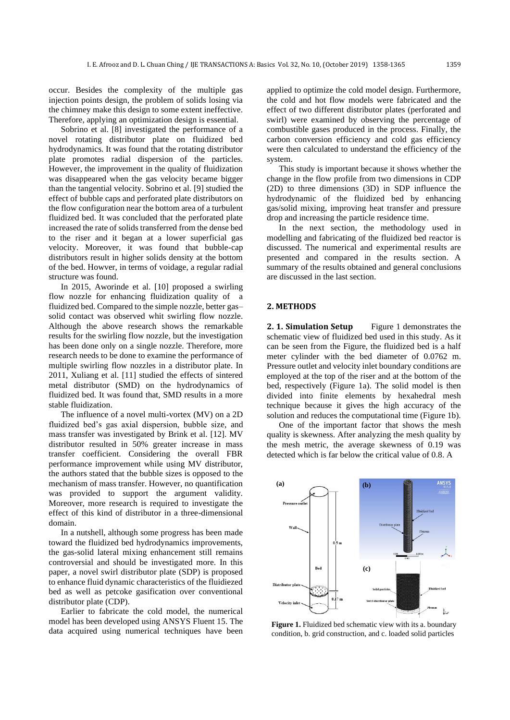occur. Besides the complexity of the multiple gas injection points design, the problem of solids losing via the chimney make this design to some extent ineffective. Therefore, applying an optimization design is essential.

Sobrino et al. [\[8\]](#page-6-7) investigated the performance of a novel rotating distributor plate on fluidized bed hydrodynamics. It was found that the rotating distributor plate promotes radial dispersion of the particles. However, the improvement in the quality of fluidization was disappeared when the gas velocity became bigger than the tangential velocity. Sobrino et al. [\[9\]](#page-6-8) studied the effect of bubble caps and perforated plate distributors on the flow configuration near the bottom area of a turbulent fluidized bed. It was concluded that the perforated plate increased the rate of solids transferred from the dense bed to the riser and it began at a lower superficial gas velocity. Moreover, it was found that bubble-cap distributors result in higher solids density at the bottom of the bed. Howver, in terms of voidage, a regular radial structure was found.

In 2015, Aworinde et al. [\[10\]](#page-6-9) proposed a swirling flow nozzle for enhancing fluidization quality of a fluidized bed. Compared to the simple nozzle, better gas– solid contact was observed whit swirling flow nozzle. Although the above research shows the remarkable results for the swirling flow nozzle, but the investigation has been done only on a single nozzle. Therefore, more research needs to be done to examine the performance of multiple swirling flow nozzles in a distributor plate. In 2011, Xuliang et al. [\[11\]](#page-6-10) studied the effects of sintered metal distributor (SMD) on the hydrodynamics of fluidized bed. It was found that, SMD results in a more stable fluidization.

The influence of a novel multi-vortex (MV) on a 2D fluidized bed's gas axial dispersion, bubble size, and mass transfer was investigated by Brink et al. [\[12\]](#page-6-11). MV distributor resulted in 50% greater increase in mass transfer coefficient. Considering the overall FBR performance improvement while using MV distributor, the authors stated that the bubble sizes is opposed to the mechanism of mass transfer. However, no quantification was provided to support the argument validity. Moreover, more research is required to investigate the effect of this kind of distributor in a three-dimensional domain.

In a nutshell, although some progress has been made toward the fluidized bed hydrodynamics improvements, the gas-solid lateral mixing enhancement still remains controversial and should be investigated more. In this paper, a novel swirl distributor plate (SDP) is proposed to enhance fluid dynamic characteristics of the fluidiezed bed as well as petcoke gasification over conventional distributor plate (CDP).

Earlier to fabricate the cold model, the numerical model has been developed using ANSYS Fluent 15. The data acquired using numerical techniques have been applied to optimize the cold model design. Furthermore, the cold and hot flow models were fabricated and the effect of two different distributor plates (perforated and swirl) were examined by observing the percentage of combustible gases produced in the process. Finally, the carbon conversion efficiency and cold gas efficiency were then calculated to understand the efficiency of the system.

This study is important because it shows whether the change in the flow profile from two dimensions in CDP (2D) to three dimensions (3D) in SDP influence the hydrodynamic of the fluidized bed by enhancing gas/solid mixing, improving heat transfer and pressure drop and increasing the particle residence time.

In the next section, the methodology used in modelling and fabricating of the fluidized bed reactor is discussed. The numerical and experimental results are presented and compared in the results section. A summary of the results obtained and general conclusions are discussed in the last section.

### **2. METHODS**

**2. 1. Simulation Setup** Figure 1 demonstrates the schematic view of fluidized bed used in this study. As it can be seen from the Figure, the fluidized bed is a half meter cylinder with the bed diameter of 0.0762 m. Pressure outlet and velocity inlet boundary conditions are employed at the top of the riser and at the bottom of the bed, respectively (Figure 1a). The solid model is then divided into finite elements by hexahedral mesh technique because it gives the high accuracy of the solution and reduces the computational time (Figure 1b).

One of the important factor that shows the mesh quality is skewness. After analyzing the mesh quality by the mesh metric, the average skewness of 0.19 was detected which is far below the critical value of 0.8. A



**Figure 1.** Fluidized bed schematic view with its a. boundary condition, b. grid construction, and c. loaded solid particles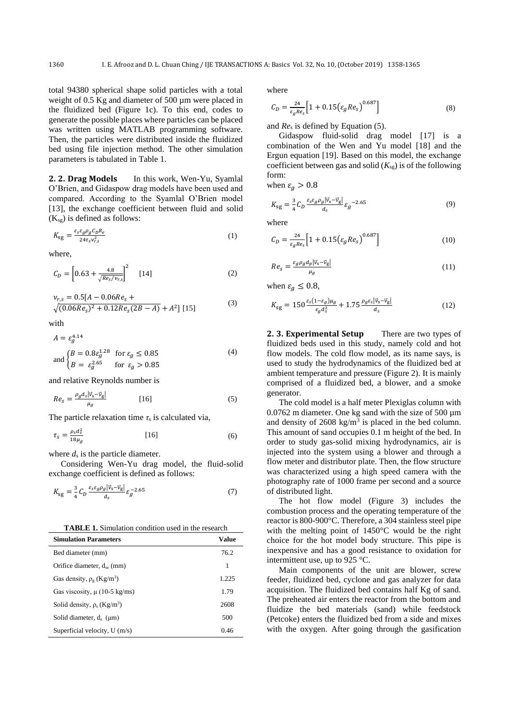total 94380 spherical shape solid particles with a total weight of 0.5 Kg and diameter of 500  $\mu$ m were placed in the fluidized bed (Figure 1c). To this end, codes to generate the possible places where particles can be placed was written using MATLAB programming software. Then, the particles were distributed inside the fluidized bed using file injection method. The other simulation parameters is tabulated in Table 1.

**2. 2. Drag Models** In this work, Wen-Yu, Syamlal O'Brien, and Gidaspow drag models have been used and compared. According to the Syamlal O'Brien model [\[13\]](#page-6-12), the exchange coefficient between fluid and solid  $(K_{sg})$  is defined as follows:

$$
K_{\rm sg} = \frac{\varepsilon_{s} \varepsilon_{g} \rho_{g} C_{D} R_{e}}{24\tau_{s} v_{r,s}^{2}} \tag{1}
$$

where,

$$
C_D = \left[0.63 + \frac{4.8}{\sqrt{Re_s/\nu_{r,s}}}\right]^2 \quad [14]
$$
 (2)

$$
\begin{aligned} v_{r,s} &= 0.5[A - 0.06Re_s + \\ \sqrt{(0.06Re_s)^2 + 0.12Re_s(2B - A)} + A^2] \ [15] \end{aligned} \tag{3}
$$

with

$$
A = \varepsilon_g^{4.14}
$$
  
and 
$$
\begin{cases} B = 0.8\varepsilon_g^{1.28} & \text{for } \varepsilon_g \le 0.85\\ B = \varepsilon_g^{2.65} & \text{for } \varepsilon_g > 0.85 \end{cases}
$$
 (4)

and relative Reynolds number is

$$
Re_s = \frac{\rho_g d_s |\vec{v}_s - \vec{v}_g|}{\mu_g} \tag{5}
$$

The particle relaxation time  $\tau_s$  is calculated via,

$$
\tau_s = \frac{\rho_s d_s^2}{18\mu_g} \tag{6}
$$

where  $d_s$  is the particle diameter.

Considering Wen-Yu drag model, the fluid-solid exchange coefficient is defined as follows:

$$
K_{\rm sg} = \frac{3}{4} C_D \frac{\varepsilon_s \varepsilon_g \rho_g |\vec{v}_s - \vec{v}_g|}{d_s} \varepsilon_g^{-2.65} \tag{7}
$$

**TABLE 1.** Simulation condition used in the research

| <b>Simulation Parameters</b>                 | Value |
|----------------------------------------------|-------|
| Bed diameter (mm)                            | 76.2  |
| Orifice diameter, $d_{or}$ (mm)              | 1     |
| Gas density, $\rho_e$ (Kg/m <sup>3</sup> )   | 1.225 |
| Gas viscosity, $\mu$ (10-5 kg/ms)            | 1.79  |
| Solid density, $\rho_s$ (Kg/m <sup>3</sup> ) | 2608  |
| Solid diameter, $d_s$ ( $\mu$ m)             | 500   |
| Superficial velocity, $U(m/s)$               | 0.46  |

where

$$
C_D = \frac{24}{\varepsilon_g Re_s} \Big[ 1 + 0.15 \big( \varepsilon_g Re_s \big)^{0.687} \Big] \tag{8}
$$

and *Re*<sup>s</sup> is defined by Equation (5).

Gidaspow fluid-solid drag model [\[17\]](#page-6-15) is a combination of the Wen and Yu model [\[18\]](#page-6-16) and the Ergun equation [\[19\]](#page-6-17). Based on this model, the exchange coefficient between gas and solid  $(K_{sg})$  is of the following form:

when  $\varepsilon_a > 0.8$ 

$$
K_{\rm sg} = \frac{3}{4} C_D \frac{\varepsilon_s \varepsilon_g \rho_g |\vec{v}_s - \vec{v}_g|}{d_s} \varepsilon_g^{-2.65}
$$
(9)

where

$$
C_D = \frac{24}{\varepsilon_g Re_s} \Big[ 1 + 0.15 \big( \varepsilon_g Re_s \big)^{0.687} \Big] \tag{10}
$$

$$
Re_s = \frac{\varepsilon_g \rho_g d_p |\vec{v}_s - \vec{v}_g|}{\mu_g} \tag{11}
$$

when  $\varepsilon_g \leq 0.8$ ,

$$
K_{\rm sg} = 150 \frac{\varepsilon_s (1 - \varepsilon_g) \mu_g}{\varepsilon_g d_s^2} + 1.75 \frac{\rho_g \varepsilon_s |\vec{v}_s - \vec{v}_g|}{d_s} \tag{12}
$$

**2. 3. Experimental Setup** There are two types of fluidized beds used in this study, namely cold and hot flow models. The cold flow model, as its name says, is used to study the hydrodynamics of the fluidized bed at ambient temperature and pressure (Figure 2). It is mainly comprised of a fluidized bed, a blower, and a smoke generator.

The cold model is a half meter Plexiglas column with 0.0762 m diameter. One kg sand with the size of 500 µm and density of  $2608 \text{ kg/m}^3$  is placed in the bed column. This amount of sand occupies 0.1 m height of the bed. In order to study gas-solid mixing hydrodynamics, air is injected into the system using a blower and through a flow meter and distributor plate. Then, the flow structure was characterized using a high speed camera with the photography rate of 1000 frame per second and a source of distributed light.

The hot flow model (Figure 3) includes the combustion process and the operating temperature of the reactor is 800-900°C. Therefore, a 304 stainless steel pipe with the melting point of 1450°C would be the right choice for the hot model body structure. This pipe is inexpensive and has a good resistance to oxidation for intermittent use, up to 925 °C.

Main components of the unit are blower, screw feeder, fluidized bed, cyclone and gas analyzer for data acquisition. The fluidized bed contains half Kg of sand. The preheated air enters the reactor from the bottom and fluidize the bed materials (sand) while feedstock (Petcoke) enters the fluidized bed from a side and mixes with the oxygen. After going through the gasification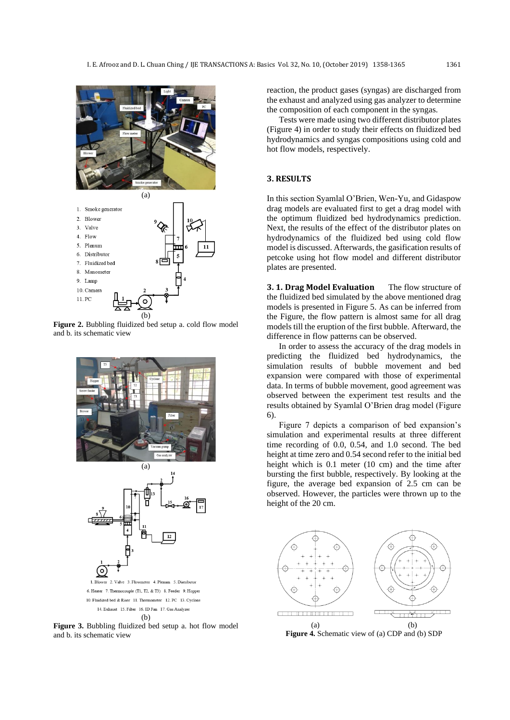



**Figure 2.** Bubbling fluidized bed setup a. cold flow model and b. its schematic view



**Figure 3.** Bubbling fluidized bed setup a. hot flow model and b. its schematic view

reaction, the product gases (syngas) are discharged from the exhaust and analyzed using gas analyzer to determine the composition of each component in the syngas.

Tests were made using two different distributor plates (Figure 4) in order to study their effects on fluidized bed hydrodynamics and syngas compositions using cold and hot flow models, respectively.

## **3. RESULTS**

In this section Syamlal O'Brien, Wen-Yu, and Gidaspow drag models are evaluated first to get a drag model with the optimum fluidized bed hydrodynamics prediction. Next, the results of the effect of the distributor plates on hydrodynamics of the fluidized bed using cold flow model is discussed. Afterwards, the gasification results of petcoke using hot flow model and different distributor plates are presented.

**3. 1. Drag Model Evaluation** The flow structure of the fluidized bed simulated by the above mentioned drag models is presented in Figure 5. As can be inferred from the Figure, the flow pattern is almost same for all drag models till the eruption of the first bubble. Afterward, the difference in flow patterns can be observed.

In order to assess the accuracy of the drag models in predicting the fluidized bed hydrodynamics, the simulation results of bubble movement and bed expansion were compared with those of experimental data. In terms of bubble movement, good agreement was observed between the experiment test results and the results obtained by Syamlal O'Brien drag model (Figure 6).

Figure 7 depicts a comparison of bed expansion's simulation and experimental results at three different time recording of 0.0, 0.54, and 1.0 second. The bed height at time zero and 0.54 second refer to the initial bed height which is 0.1 meter (10 cm) and the time after bursting the first bubble, respectively. By looking at the figure, the average bed expansion of 2.5 cm can be observed. However, the particles were thrown up to the height of the 20 cm.



**Figure 4.** Schematic view of (a) CDP and (b) SDP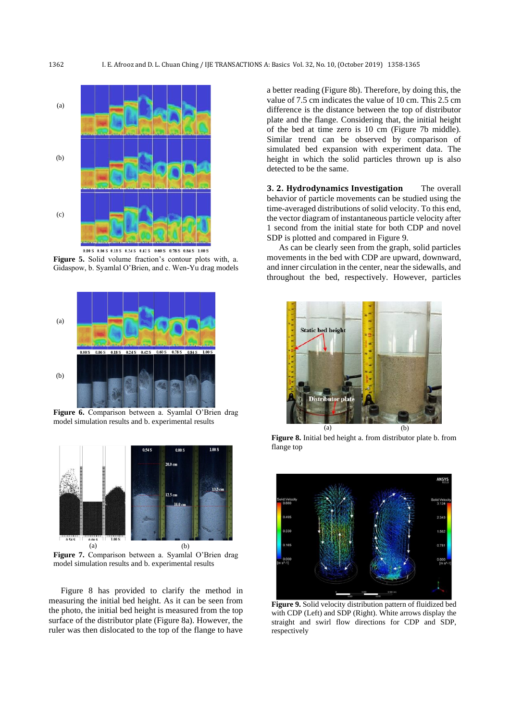

 $0.00 S$   $0.06 S$   $0.18 S$   $0.24 S$   $0.42 S$   $0.60 S$   $0.78 S$   $0.84 S$  1.00 S

**Figure 5.** Solid volume fraction's contour plots with, a. Gidaspow, b. Syamlal O'Brien, and c. Wen-Yu drag models



Figure 6. Comparison between a. Syamlal O'Brien drag model simulation results and b. experimental results



**Figure 7.** Comparison between a. Syamlal O'Brien drag model simulation results and b. experimental results

Figure 8 has provided to clarify the method in measuring the initial bed height. As it can be seen from the photo, the initial bed height is measured from the top surface of the distributor plate (Figure 8a). However, the ruler was then dislocated to the top of the flange to have

a better reading (Figure 8b). Therefore, by doing this, the value of 7.5 cm indicates the value of 10 cm. This 2.5 cm difference is the distance between the top of distributor plate and the flange. Considering that, the initial height of the bed at time zero is 10 cm (Figure 7b middle). Similar trend can be observed by comparison of simulated bed expansion with experiment data. The height in which the solid particles thrown up is also detected to be the same.

**3. 2. Hydrodynamics Investigation** The overall behavior of particle movements can be studied using the time-averaged distributions of solid velocity. To this end, the vector diagram of instantaneous particle velocity after 1 second from the initial state for both CDP and novel SDP is plotted and compared in Figure 9.

As can be clearly seen from the graph, solid particles movements in the bed with CDP are upward, downward, and inner circulation in the center, near the sidewalls, and throughout the bed, respectively. However, particles



**Figure 8.** Initial bed height a. from distributor plate b. from flange top



**Figure 9.** Solid velocity distribution pattern of fluidized bed with CDP (Left) and SDP (Right). White arrows display the straight and swirl flow directions for CDP and SDP, respectively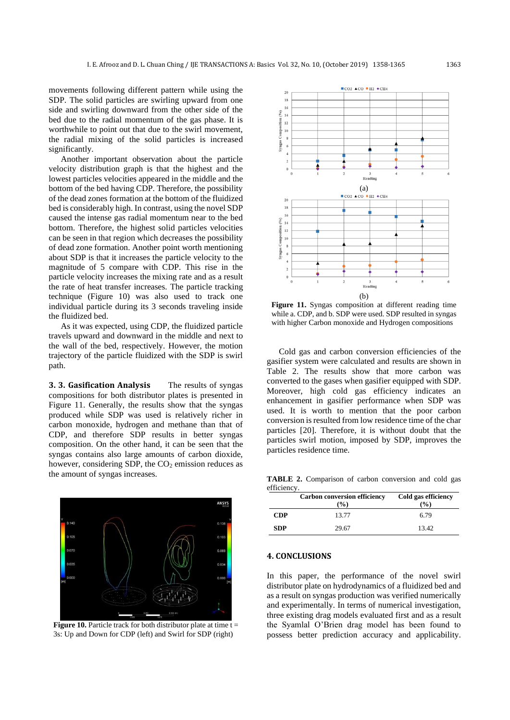movements following different pattern while using the SDP. The solid particles are swirling upward from one side and swirling downward from the other side of the bed due to the radial momentum of the gas phase. It is worthwhile to point out that due to the swirl movement, the radial mixing of the solid particles is increased significantly.

Another important observation about the particle velocity distribution graph is that the highest and the lowest particles velocities appeared in the middle and the bottom of the bed having CDP. Therefore, the possibility of the dead zones formation at the bottom of the fluidized bed is considerably high. In contrast, using the novel SDP caused the intense gas radial momentum near to the bed bottom. Therefore, the highest solid particles velocities can be seen in that region which decreases the possibility of dead zone formation. Another point worth mentioning about SDP is that it increases the particle velocity to the magnitude of 5 compare with CDP. This rise in the particle velocity increases the mixing rate and as a result the rate of heat transfer increases. The particle tracking technique (Figure 10) was also used to track one individual particle during its 3 seconds traveling inside the fluidized bed.

As it was expected, using CDP, the fluidized particle travels upward and downward in the middle and next to the wall of the bed, respectively. However, the motion trajectory of the particle fluidized with the SDP is swirl path.

**3. 3. Gasification Analysis** The results of syngas compositions for both distributor plates is presented in Figure 11. Generally, the results show that the syngas produced while SDP was used is relatively richer in carbon monoxide, hydrogen and methane than that of CDP, and therefore SDP results in better syngas composition. On the other hand, it can be seen that the syngas contains also large amounts of carbon dioxide, however, considering SDP, the  $CO<sub>2</sub>$  emission reduces as the amount of syngas increases.



**Figure 10.** Particle track for both distributor plate at time  $t =$ 3s: Up and Down for CDP (left) and Swirl for SDP (right)



Figure 11. Syngas composition at different reading time while a. CDP, and b. SDP were used. SDP resulted in syngas with higher Carbon monoxide and Hydrogen compositions

Cold gas and carbon conversion efficiencies of the gasifier system were calculated and results are shown in Table 2. The results show that more carbon was converted to the gases when gasifier equipped with SDP. Moreover, high cold gas efficiency indicates an enhancement in gasifier performance when SDP was used. It is worth to mention that the poor carbon conversion is resulted from low residence time of the char particles [\[20\]](#page-6-18). Therefore, it is without doubt that the particles swirl motion, imposed by SDP, improves the particles residence time.

**TABLE 2.** Comparison of carbon conversion and cold gas efficiency.

|            | <b>Carbon conversion efficiency</b><br>$\mathcal{O}_0$ | Cold gas efficiency<br>$\left( \frac{0}{0} \right)$ |
|------------|--------------------------------------------------------|-----------------------------------------------------|
| <b>CDP</b> | 13.77                                                  | 6.79                                                |
| <b>SDP</b> | 29.67                                                  | 13.42                                               |

## **4. CONCLUSIONS**

In this paper, the performance of the novel swirl distributor plate on hydrodynamics of a fluidized bed and as a result on syngas production was verified numerically and experimentally. In terms of numerical investigation, three existing drag models evaluated first and as a result the Syamlal O'Brien drag model has been found to possess better prediction accuracy and applicability.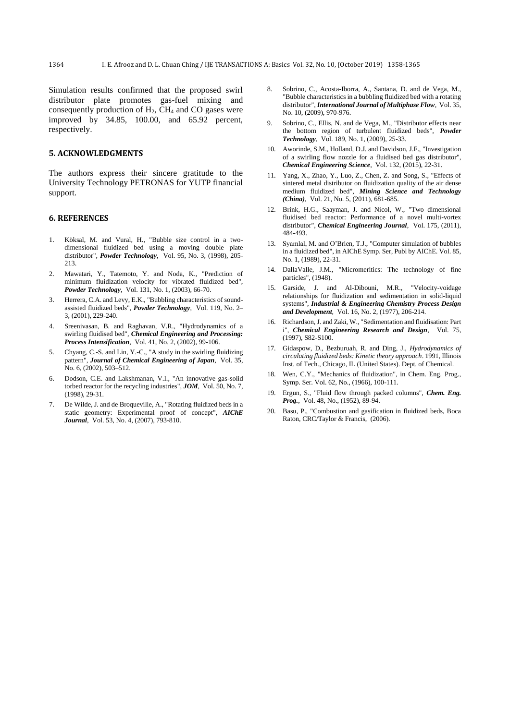Simulation results confirmed that the proposed swirl distributor plate promotes gas-fuel mixing and consequently production of  $H_2$ ,  $CH_4$  and CO gases were improved by 34.85, 100.00, and 65.92 percent, respectively.

### **5. ACKNOWLEDGMENTS**

The authors express their sincere gratitude to the University Technology PETRONAS for YUTP financial support.

#### **6. REFERENCES**

- <span id="page-6-0"></span>1. Köksal, M. and Vural, H., "Bubble size control in a twodimensional fluidized bed using a moving double plate distributor", *Powder Technology*, Vol. 95, No. 3, (1998), 205- 213.
- <span id="page-6-1"></span>2. Mawatari, Y., Tatemoto, Y. and Noda, K., "Prediction of minimum fluidization velocity for vibrated fluidized bed", *Powder Technology*, Vol. 131, No. 1, (2003), 66-70.
- <span id="page-6-2"></span>3. Herrera, C.A. and Levy, E.K., "Bubbling characteristics of soundassisted fluidized beds", *Powder Technology*, Vol. 119, No. 2– 3, (2001), 229-240.
- <span id="page-6-3"></span>4. Sreenivasan, B. and Raghavan, V.R., "Hydrodynamics of a swirling fluidised bed", *Chemical Engineering and Processing: Process Intensification*, Vol. 41, No. 2, (2002), 99-106.
- <span id="page-6-4"></span>5. Chyang, C.-S. and Lin, Y.-C., "A study in the swirling fluidizing pattern", *Journal of Chemical Engineering of Japan*, Vol. 35, No. 6, (2002), 503–512.
- <span id="page-6-5"></span>6. Dodson, C.E. and Lakshmanan, V.I., "An innovative gas-solid torbed reactor for the recycling industries", *JOM*, Vol. 50, No. 7, (1998), 29-31.
- <span id="page-6-6"></span>7. De Wilde, J. and de Broqueville, A., "Rotating fluidized beds in a static geometry: Experimental proof of concept", *AIChE Journal*, Vol. 53, No. 4, (2007), 793-810.
- <span id="page-6-7"></span>8. Sobrino, C., Acosta-Iborra, A., Santana, D. and de Vega, M., "Bubble characteristics in a bubbling fluidized bed with a rotating distributor", *International Journal of Multiphase Flow*, Vol. 35, No. 10, (2009), 970-976.
- <span id="page-6-8"></span>9. Sobrino, C., Ellis, N. and de Vega, M., "Distributor effects near the bottom region of turbulent fluidized beds", *Powder Technology*, Vol. 189, No. 1, (2009), 25-33.
- <span id="page-6-9"></span>10. Aworinde, S.M., Holland, D.J. and Davidson, J.F., "Investigation of a swirling flow nozzle for a fluidised bed gas distributor", *Chemical Engineering Science*, Vol. 132, (2015), 22-31.
- <span id="page-6-10"></span>11. Yang, X., Zhao, Y., Luo, Z., Chen, Z. and Song, S., "Effects of sintered metal distributor on fluidization quality of the air dense medium fluidized bed", *Mining Science and Technology (China)*, Vol. 21, No. 5, (2011), 681-685.
- <span id="page-6-11"></span>12. Brink, H.G., Saayman, J. and Nicol, W., "Two dimensional fluidised bed reactor: Performance of a novel multi-vortex distributor", *Chemical Engineering Journal*, Vol. 175, (2011), 484-493.
- <span id="page-6-12"></span>13. Syamlal, M. and O'Brien, T.J., "Computer simulation of bubbles in a fluidized bed", in AIChE Symp. Ser, Publ by AIChE. Vol. 85, No. 1, (1989), 22-31.
- 14. DallaValle, J.M., "Micromeritics: The technology of fine particles", (1948).
- <span id="page-6-13"></span>15. Garside, J. and Al-Dibouni, M.R., "Velocity-voidage relationships for fluidization and sedimentation in solid-liquid systems", *Industrial & Engineering Chemistry Process Design and Development*, Vol. 16, No. 2, (1977), 206-214.
- <span id="page-6-14"></span>16. Richardson, J. and Zaki, W., "Sedimentation and fluidisation: Part i", *Chemical Engineering Research and Design*, Vol. 75, (1997), S82-S100.
- <span id="page-6-15"></span>17. Gidaspow, D., Bezburuah, R. and Ding, J., *Hydrodynamics of circulating fluidized beds: Kinetic theory approach*. 1991, Illinois Inst. of Tech., Chicago, IL (United States). Dept. of Chemical.
- <span id="page-6-16"></span>18. Wen, C.Y., "Mechanics of fluidization", in Chem. Eng. Prog., Symp. Ser. Vol. 62, No., (1966), 100-111.
- <span id="page-6-17"></span>19. Ergun, S., "Fluid flow through packed columns", *Chem. Eng. Prog.*, Vol. 48, No., (1952), 89-94.
- <span id="page-6-18"></span>20. Basu, P., "Combustion and gasification in fluidized beds, Boca Raton, CRC/Taylor & Francis, (2006).